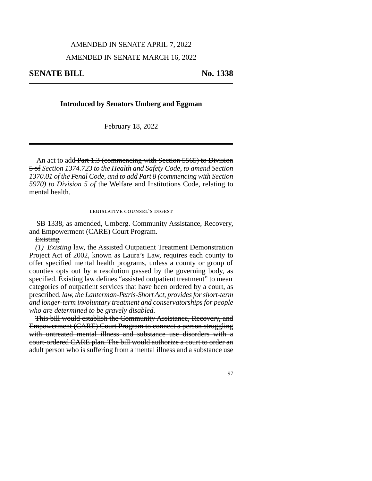#### AMENDED IN SENATE APRIL 7, 2022

### AMENDED IN SENATE MARCH 16, 2022

## **Introduced by Senators Umberg and Eggman**

February 18, 2022

An act to add Part 1.3 (commencing with Section 5565) to Division 5 of *Section 1374.723 to the Health and Safety Code, to amend Section 1370.01 of the Penal Code, and to add Part 8 (commencing with Section 5970) to Division 5 of* the Welfare and Institutions Code, relating to mental health.

#### legislative counsel's digest

SB 1338, as amended, Umberg. Community Assistance, Recovery, and Empowerment (CARE) Court Program.

Existing

*(1) Existing* law, the Assisted Outpatient Treatment Demonstration Project Act of 2002, known as Laura's Law, requires each county to offer specified mental health programs, unless a county or group of counties opts out by a resolution passed by the governing body, as specified. Existing law defines "assisted outpatient treatment" to mean categories of outpatient services that have been ordered by a court, as prescribed. *law, the Lanterman-Petris-Short Act, provides for short-term and longer-term involuntary treatment and conservatorships for people who are determined to be gravely disabled.*

This bill would establish the Community Assistance, Recovery, and Empowerment (CARE) Court Program to connect a person struggling with untreated mental illness and substance use disorders with a court-ordered CARE plan. The bill would authorize a court to order an adult person who is suffering from a mental illness and a substance use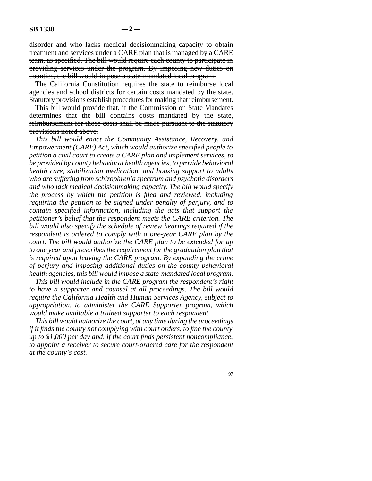disorder and who lacks medical decisionmaking capacity to obtain treatment and services under a CARE plan that is managed by a CARE team, as specified. The bill would require each county to participate in providing services under the program. By imposing new duties on counties, the bill would impose a state-mandated local program.

The California Constitution requires the state to reimburse local agencies and school districts for certain costs mandated by the state. Statutory provisions establish procedures for making that reimbursement.

This bill would provide that, if the Commission on State Mandates determines that the bill contains costs mandated by the state, reimbursement for those costs shall be made pursuant to the statutory provisions noted above.

*This bill would enact the Community Assistance, Recovery, and Empowerment (CARE) Act, which would authorize specified people to petition a civil court to create a CARE plan and implement services, to be provided by county behavioral health agencies, to provide behavioral health care, stabilization medication, and housing support to adults who are suffering from schizophrenia spectrum and psychotic disorders and who lack medical decisionmaking capacity. The bill would specify the process by which the petition is filed and reviewed, including requiring the petition to be signed under penalty of perjury, and to contain specified information, including the acts that support the petitioner's belief that the respondent meets the CARE criterion. The bill would also specify the schedule of review hearings required if the respondent is ordered to comply with a one-year CARE plan by the court. The bill would authorize the CARE plan to be extended for up to one year and prescribes the requirement for the graduation plan that is required upon leaving the CARE program. By expanding the crime of perjury and imposing additional duties on the county behavioral health agencies, this bill would impose a state-mandated local program.* 

*This bill would include in the CARE program the respondent's right to have a supporter and counsel at all proceedings. The bill would require the California Health and Human Services Agency, subject to appropriation, to administer the CARE Supporter program, which would make available a trained supporter to each respondent.* 

*This bill would authorize the court, at any time during the proceedings if it finds the county not complying with court orders, to fine the county up to \$1,000 per day and, if the court finds persistent noncompliance, to appoint a receiver to secure court-ordered care for the respondent at the county's cost.*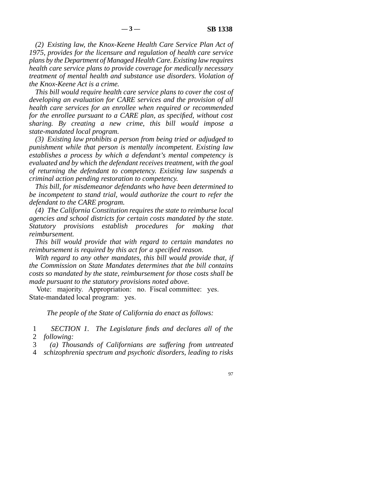*(2) Existing law, the Knox-Keene Health Care Service Plan Act of 1975, provides for the licensure and regulation of health care service plans by the Department of Managed Health Care. Existing law requires health care service plans to provide coverage for medically necessary treatment of mental health and substance use disorders. Violation of the Knox-Keene Act is a crime.* 

*This bill would require health care service plans to cover the cost of developing an evaluation for CARE services and the provision of all health care services for an enrollee when required or recommended for the enrollee pursuant to a CARE plan, as specified, without cost sharing. By creating a new crime, this bill would impose a state-mandated local program.* 

*(3) Existing law prohibits a person from being tried or adjudged to punishment while that person is mentally incompetent. Existing law establishes a process by which a defendant's mental competency is evaluated and by which the defendant receives treatment, with the goal of returning the defendant to competency. Existing law suspends a criminal action pending restoration to competency.* 

*This bill, for misdemeanor defendants who have been determined to be incompetent to stand trial, would authorize the court to refer the defendant to the CARE program.* 

*(4) The California Constitution requires the state to reimburse local agencies and school districts for certain costs mandated by the state. Statutory provisions establish procedures for making that reimbursement.* 

*This bill would provide that with regard to certain mandates no reimbursement is required by this act for a specified reason.* 

With regard to any other mandates, this bill would provide that, if *the Commission on State Mandates determines that the bill contains costs so mandated by the state, reimbursement for those costs shall be made pursuant to the statutory provisions noted above.* 

Vote: majority. Appropriation: no. Fiscal committee: yes. State-mandated local program: yes.

*The people of the State of California do enact as follows:* 

 line 1 *SECTION 1. The Legislature finds and declares all of the*  2 *following:* 

line 3 *(a) Thousands of Californians are suffering from untreated* 

line 4 *schizophrenia spectrum and psychotic disorders, leading to risks*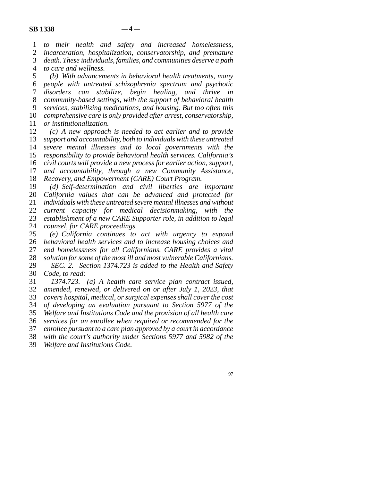line 1 *to their health and safety and increased homelessness,*  2 *incarceration, hospitalization, conservatorship, and premature* 3 *death. These individuals, families, and communities deserve a path* death. These individuals, families, and communities deserve a path line 4 *to care and wellness.* 

 line 5 *(b) With advancements in behavioral health treatments, many*  line 6 *people with untreated schizophrenia spectrum and psychotic*  line 7 *disorders can stabilize, begin healing, and thrive in*  line 8 *community-based settings, with the support of behavioral health*  line 9 *services, stabilizing medications, and housing. But too often this*  10 *comprehensive care is only provided after arrest, conservatorship,* 11 *or institutionalization.* 

12 (c) A new approach is needed to act earlier and to provide *support and accountability, both to individuals with these untreated severe mental illnesses and to local governments with the responsibility to provide behavioral health services. California's civil courts will provide a new process for earlier action, support, and accountability, through a new Community Assistance, Recovery, and Empowerment (CARE) Court Program.* 

19 (d) Self-determination and civil liberties are important 20 *California values that can be advanced and protected for*  line 21 *individuals with these untreated severe mental illnesses and without*  22 *current capacity for medical decisionmaking, with the* 23 *establishment of a new CARE Supporter role, in addition to legal* 24 *counsel, for CARE proceedings.*<br>25 (e) California continues to (e) California continues to act with urgency to expand

 line 26 *behavioral health services and to increase housing choices and*  27 end homelessness for all Californians. CARE provides a vital 28 *solution for some of the most ill and most vulnerable Californians.*  line 29 *SEC. 2. Section 1374.723 is added to the Health and Safety*  30 *Code, to read:* 

 line 31 *1374.723. (a) A health care service plan contract issued,*  line 32 *amended, renewed, or delivered on or after July 1, 2023, that*  33 *covers hospital, medical, or surgical expenses shall cover the cost*  line 34 *of developing an evaluation pursuant to Section 5977 of the*  35 *Welfare and Institutions Code and the provision of all health care*  line 36 *services for an enrollee when required or recommended for the*  37 enrollee pursuant to a care plan approved by a court in accordance<br>38 *with the court's authority under Sections* 5977 and 5982 of the with the court's authority under Sections 5977 and 5982 of the

line 39 *Welfare and Institutions Code.*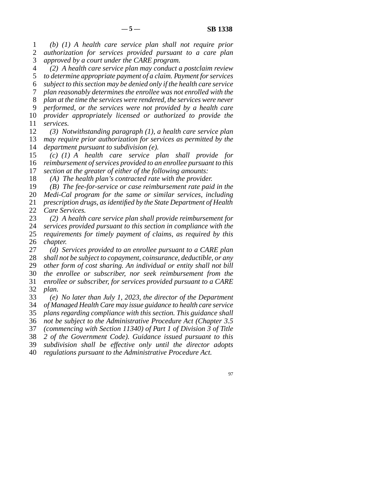line 1 *(b) (1) A health care service plan shall not require prior*  2 *authorization for services provided pursuant to a care plan* 3 *approved by a court under the CARE program.* 

 line 4 *(2) A health care service plan may conduct a postclaim review*  5 to determine appropriate payment of a claim. Payment for services line 6 *subject to this section may be denied only if the health care service*  line 7 *plan reasonably determines the enrollee was not enrolled with the*  8 *plan at the time the services were rendered, the services were never*  line 9 *performed, or the services were not provided by a health care*  10 *provider appropriately licensed or authorized to provide the* 11 *services.* 

12 (3) Notwithstanding paragraph (1), a health care service plan 13 *may require prior authorization for services as permitted by the* 14 *department pursuant to subdivision (e).* 

15 *(c)* (1) A health care service plan shall provide for 16 *reimbursement of services provided to an enrollee pursuant to this* 17 *section at the greater of either of the following amounts:* 

18 (A) The health plan's contracted rate with the provider.

19 (B) The fee-for-service or case reimbursement rate paid in the 20 *Medi-Cal program for the same or similar services, including* 

21 *prescription drugs, as identified by the State Department of Health* 22 *Care Services.* 

23 (2) A health care service plan shall provide reimbursement for

24 *services provided pursuant to this section in compliance with the* <br>25 *requirements for timely payment of claims, as required by this* requirements for timely payment of claims, as required by this 26 *chapter.* 

27 *(d)* Services provided to an enrollee pursuant to a CARE plan 28 *shall not be subject to copayment, coinsurance, deductible, or any* 29 *other form of cost sharing. An individual or entity shall not bill*  line 30 *the enrollee or subscriber, nor seek reimbursement from the*  line 31 *enrollee or subscriber, for services provided pursuant to a CARE*  32 *plan.* 

 line 33 *(e) No later than July 1, 2023, the director of the Department*  line 34 *of Managed Health Care may issue guidance to health care service*  35 *plans regarding compliance with this section. This guidance shall*  line 36 *not be subject to the Administrative Procedure Act (Chapter 3.5*  37 *(commencing with Section 11340) of Part 1 of Division 3 of Title* line 38 *2 of the Government Code). Guidance issued pursuant to this* 

line 39 *subdivision shall be effective only until the director adopts* 

line 40 *regulations pursuant to the Administrative Procedure Act.*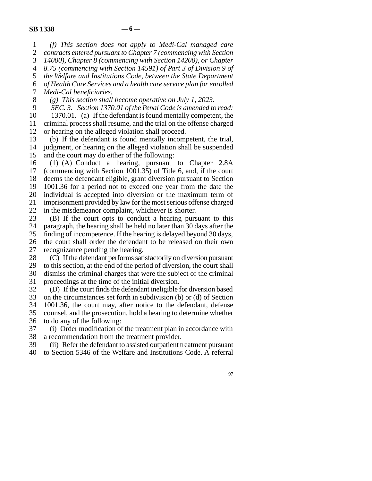line 1 *(f) This section does not apply to Medi-Cal managed care*  2 *contracts entered pursuant to Chapter 7 (commencing with Section*<br>3 *14000), Chapter 8 (commencing with Section 14200), or Chapter* 14000), Chapter 8 (commencing with Section 14200), or Chapter line 4 *8.75 (commencing with Section 14591) of Part 3 of Division 9 of*  5 the Welfare and Institutions Code, between the State Department line 6 *of Health Care Services and a health care service plan for enrolled*  7 *Medi-Cal beneficiaries.*  line 8 *(g) This section shall become operative on July 1, 2023.*  SEC. 3. Section 1370.01 of the Penal Code is amended to read: 10 1370.01. (a) If the defendant is found mentally competent, the 11 criminal process shall resume, and the trial on the offense charged

12 or hearing on the alleged violation shall proceed.

13 (b) If the defendant is found mentally incompetent, the trial, 14 judgment, or hearing on the alleged violation shall be suspended 15 and the court may do either of the following:

16 (1) (A) Conduct a hearing, pursuant to Chapter 2.8A 17 (commencing with Section  $1001.35$ ) of Title 6, and, if the court 18 deems the defendant eligible, grant diversion pursuant to Section 19 1001.36 for a period not to exceed one year from the date the 20 individual is accepted into diversion or the maximum term of 21 imprisonment provided by law for the most serious offense charged

22 in the misdemeanor complaint, whichever is shorter.<br>23 (B) If the court opts to conduct a hearing purs  $(B)$  If the court opts to conduct a hearing pursuant to this 24 paragraph, the hearing shall be held no later than 30 days after the 25 finding of incompetence. If the hearing is delayed beyond 30 days, finding of incompetence. If the hearing is delayed beyond 30 days,

26 the court shall order the defendant to be released on their own 27 recognizance pending the hearing.

28 (C) If the defendant performs satisfactorily on diversion pursuant 29 to this section, at the end of the period of diversion, the court shall 30 dismiss the criminal charges that were the subject of the criminal 31 proceedings at the time of the initial diversion.

32 (D) If the court finds the defendant ineligible for diversion based 33 on the circumstances set forth in subdivision (b) or (d) of Section 34 1001.36, the court may, after notice to the defendant, defense 35 counsel, and the prosecution, hold a hearing to determine whether 36 to do any of the following:

37 (i) Order modification of the treatment plan in accordance with 38 a recommendation from the treatment provider.

39 (ii) Refer the defendant to assisted outpatient treatment pursuant

line 40 to Section 5346 of the Welfare and Institutions Code. A referral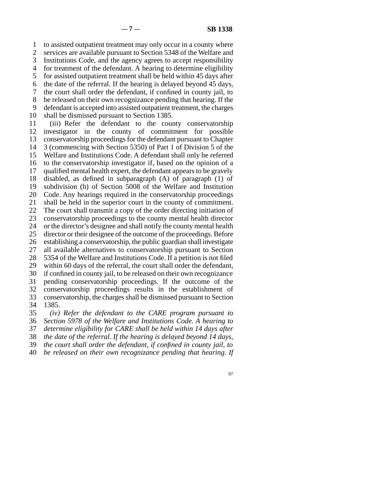1 to assisted outpatient treatment may only occur in a county where 2 services are available pursuant to Section 5348 of the Welfare and 3 Institutions Code, and the agency agrees to accept responsibility 4 for treatment of the defendant. A hearing to determine eligibility 5 for assisted outpatient treatment shall be held within 45 days after 6 the date of the referral. If the hearing is delayed beyond 45 days, 7 the court shall order the defendant, if confined in county jail, to 8 be released on their own recognizance pending that hearing. If the 9 defendant is accepted into assisted outpatient treatment, the charges 10 shall be dismissed pursuant to Section 1385. 11 (iii) Refer the defendant to the county conservatorship 12 investigator in the county of commitment for possible 13 conservatorship proceedings for the defendant pursuant to Chapter 14 3 (commencing with Section 5350) of Part 1 of Division 5 of the 15 Welfare and Institutions Code. A defendant shall only be referred 16 to the conservatorship investigator if, based on the opinion of a 17 qualified mental health expert, the defendant appears to be gravely 18 disabled, as defined in subparagraph  $(A)$  of paragraph  $(1)$  of 19 subdivision (h) of Section 5008 of the Welfare and Institution 20 Code. Any hearings required in the conservatorship proceedings 21 shall be held in the superior court in the county of commitment. 22 The court shall transmit a copy of the order directing initiation of 23 conservatorship proceedings to the county mental health director 24 or the director's designee and shall notify the county mental health<br>25 director or their designee of the outcome of the proceedings. Before director or their designee of the outcome of the proceedings. Before

26 establishing a conservatorship, the public guardian shall investigate 27 all available alternatives to conservatorship pursuant to Section

28 5354 of the Welfare and Institutions Code. If a petition is not filed

29 within 60 days of the referral, the court shall order the defendant,

30 if confined in county jail, to be released on their own recognizance 31 pending conservatorship proceedings. If the outcome of the

32 conservatorship proceedings results in the establishment of

33 conservatorship, the charges shall be dismissed pursuant to Section

34 1385.

 line 35 *(iv) Refer the defendant to the CARE program pursuant to*  line 36 *Section 5978 of the Welfare and Institutions Code. A hearing to* 

37 *determine eligibility for CARE shall be held within 14 days after* 

line 38 *the date of the referral. If the hearing is delayed beyond 14 days,* 

line 39 *the court shall order the defendant, if confined in county jail, to* 

line 40 *be released on their own recognizance pending that hearing. If*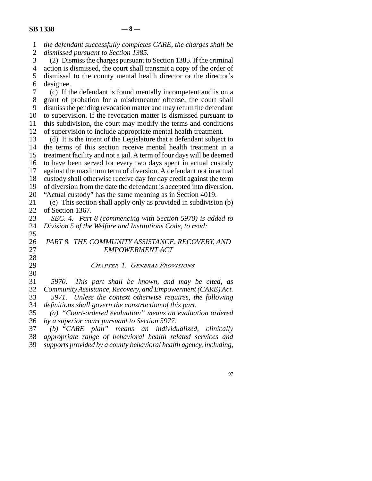| $\mathbf{1}$   | the defendant successfully completes CARE, the charges shall be       |
|----------------|-----------------------------------------------------------------------|
| $\overline{2}$ | dismissed pursuant to Section 1385.                                   |
| 3              | (2) Dismiss the charges pursuant to Section 1385. If the criminal     |
| $\overline{4}$ | action is dismissed, the court shall transmit a copy of the order of  |
| 5              | dismissal to the county mental health director or the director's      |
| 6              | designee.                                                             |
| $\tau$         | (c) If the defendant is found mentally incompetent and is on a        |
| 8              | grant of probation for a misdemeanor offense, the court shall         |
| 9              | dismiss the pending revocation matter and may return the defendant    |
| 10             | to supervision. If the revocation matter is dismissed pursuant to     |
| 11             | this subdivision, the court may modify the terms and conditions       |
| 12             | of supervision to include appropriate mental health treatment.        |
| 13             | (d) It is the intent of the Legislature that a defendant subject to   |
| 14             | the terms of this section receive mental health treatment in a        |
| 15             | treatment facility and not a jail. A term of four days will be deemed |
| 16             | to have been served for every two days spent in actual custody        |
| 17             | against the maximum term of diversion. A defendant not in actual      |
| 18             | custody shall otherwise receive day for day credit against the term   |
| 19             | of diversion from the date the defendant is accepted into diversion.  |
| 20             | "Actual custody" has the same meaning as in Section 4019.             |
| 21             | (e) This section shall apply only as provided in subdivision (b)      |
| 22             | of Section 1367.                                                      |
| 23             | SEC. 4. Part 8 (commencing with Section 5970) is added to             |
| 24             | Division 5 of the Welfare and Institutions Code, to read:             |
| 25             |                                                                       |
| 26             | PART 8. THE COMMUNITY ASSISTANCE, RECOVERY, AND                       |
| 27             | <b>EMPOWERMENT ACT</b>                                                |
| 28             |                                                                       |
| 29             | CHAPTER 1. GENERAL PROVISIONS                                         |
| 30             |                                                                       |
| 31             | 5970.<br>This part shall be known, and may be cited, as               |
| 32             | Community Assistance, Recovery, and Empowerment (CARE) Act.           |
| 33             | Unless the context otherwise requires, the following<br>5971.         |
| 34             | definitions shall govern the construction of this part.               |
| 35             | (a) "Court-ordered evaluation" means an evaluation ordered            |
| 36             | by a superior court pursuant to Section 5977.                         |
| 37             | $(b)$ "CARE plan"<br>means an individualized,<br>clinically           |
| 38             | appropriate range of behavioral health related services and           |
| 39             | supports provided by a county behavioral health agency, including,    |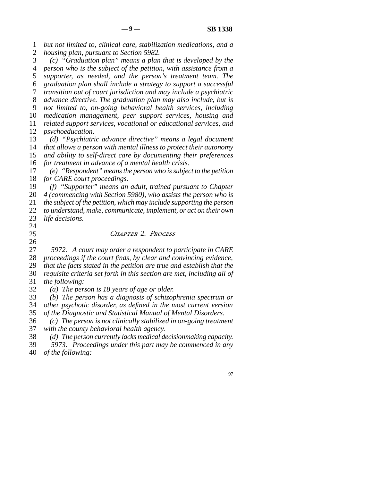line 1 *but not limited to, clinical care, stabilization medications, and a*  2 *housing plan, pursuant to Section 5982.*  line 3 *(c) "Graduation plan" means a plan that is developed by the*  line 4 *person who is the subject of the petition, with assistance from a*  5 *supporter, as needed, and the person's treatment team. The*  line 6 *graduation plan shall include a strategy to support a successful*  line 7 *transition out of court jurisdiction and may include a psychiatric*  line 8 *advance directive. The graduation plan may also include, but is*  line 9 *not limited to, on-going behavioral health services, including*  10 *medication management, peer support services, housing and* 11 *related support services, vocational or educational services, and* 12 *psychoeducation.* 13 *(d)* "Psychiatric advance directive" means a legal document 14 *that allows a person with mental illness to protect their autonomy* 15 *and ability to self-direct care by documenting their preferences* 16 *for treatment in advance of a mental health crisis.*  line 17 *(e) "Respondent" means the person who is subject to the petition*  18 *for CARE court proceedings.* 19 (f) "Supporter" means an adult, trained pursuant to Chapter 20 *4 (commencing with Section 5980), who assists the person who is* 21 *the subject of the petition, which may include supporting the person* 22 *to understand, make, communicate, implement, or act on their own* 23 *life decisions.*  $\frac{24}{25}$  line 25 *Chapter 2. Process*   $\frac{26}{27}$ 5972. A court may order a respondent to participate in CARE 28 *proceedings if the court finds, by clear and convincing evidence,*  line 29 *that the facts stated in the petition are true and establish that the*  line 30 *requisite criteria set forth in this section are met, including all of*  31 *the following:* 32 (a) The person is 18 years of age or older.<br>33 (b) The person has a diagnosis of schizol (b) The person has a diagnosis of schizophrenia spectrum or 34 *other psychotic disorder, as defined in the most current version* 35 of the Diagnostic and Statistical Manual of Mental Disorders. line 36 *(c) The person is not clinically stabilized in on-going treatment*  37 *with the county behavioral health agency.* 18 (d) The person currently lacks medical decisionmaking capacity.<br>
29 5973. Proceedings under this part may be commenced in any line 39 *5973. Proceedings under this part may be commenced in any* 

line 40 *of the following:*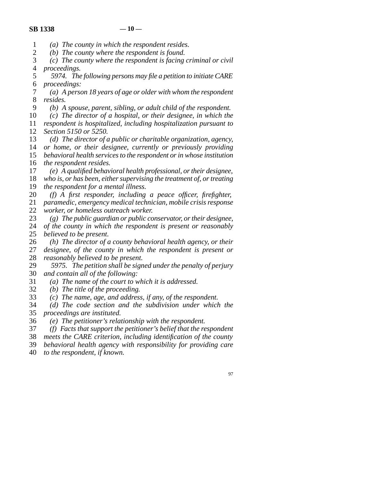## $\text{SR 1338}$   $-10$  —

- line 1 *(a) The county in which the respondent resides.*
- 2 (b) The county where the respondent is found.<br>3 (c) The county where the respondent is facing
- (c) The county where the respondent is facing criminal or civil 4 *proceedings.*
- line 5 *5974. The following persons may file a petition to initiate CARE*  line 6 *proceedings:*

 line 7 *(a) A person 18 years of age or older with whom the respondent*  8 *resides.* 

- line 9 *(b) A spouse, parent, sibling, or adult child of the respondent.*
- 10 (c) The director of a hospital, or their designee, in which the line 11 *respondent is hospitalized, including hospitalization pursuant to*

12 *Section 5150 or 5250.* 

- 13 *(d)* The director of a public or charitable organization, agency, 14 *or home, or their designee, currently or previously providing*
- 15 *behavioral health services to the respondent or in whose institution* 16 *the respondent resides.*
- 17 (e) A qualified behavioral health professional, or their designee, 18 *who is, or has been, either supervising the treatment of, or treating*
- 19 *the respondent for a mental illness.*
- 20 *(f)* A first responder, including a peace officer, firefighter, 21 *paramedic, emergency medical technician, mobile crisis response* 22 *worker, or homeless outreach worker.*

line 23 *(g) The public guardian or public conservator, or their designee,* 

- 24 *of the county in which the respondent is present or reasonably* 25 *believed to be present.* believed to be present.
- 26 (h) The director of a county behavioral health agency, or their 27 designee, of the county in which the respondent is present or designee, of the county in which the respondent is present or 28 *reasonably believed to be present.*
- 29 5975. The petition shall be signed under the penalty of perjury line 30 *and contain all of the following:*
- line 31 *(a) The name of the court to which it is addressed.*
- 32 *(b)* The title of the proceeding.<br>33 *(c)* The name, age, and addres.
- (c) The name, age, and address, if any, of the respondent.
- line 34 *(d) The code section and the subdivision under which the*  35 *proceedings are instituted.*
- line 36 *(e) The petitioner's relationship with the respondent.*
- line 37 *(f) Facts that support the petitioner's belief that the respondent*
- line 38 *meets the CARE criterion, including identification of the county*
- line 39 *behavioral health agency with responsibility for providing care*
- line 40 *to the respondent, if known.*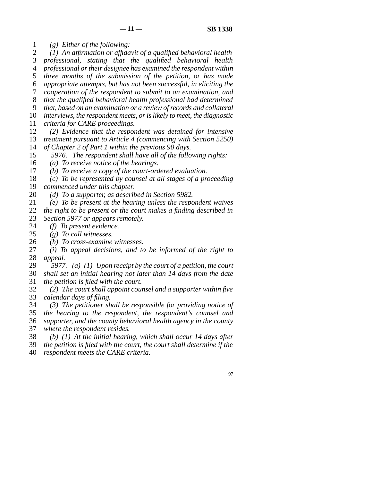line 1 *(g) Either of the following:* 

2 (1) An affirmation or affidavit of a qualified behavioral health <br>3 professional, stating that the qualified behavioral health

professional, stating that the qualified behavioral health

line 4 *professional or their designee has examined the respondent within* 

5 *three months of the submission of the petition, or has made* 

 line 6 *appropriate attempts, but has not been successful, in eliciting the*  line 7 *cooperation of the respondent to submit to an examination, and* 

line 8 *that the qualified behavioral health professional had determined* 

line 9 *that, based on an examination or a review of records and collateral* 

10 *interviews, the respondent meets, or is likely to meet, the diagnostic* 

11 *criteria for CARE proceedings.* 

12 (2) *Evidence that the respondent was detained for intensive* 13 *treatment pursuant to Article 4 (commencing with Section 5250)* 

14 *of Chapter 2 of Part 1 within the previous 90 days.* 

15 5976. The respondent shall have all of the following rights:

16 (a) To receive notice of the hearings.

17 *(b)* To receive a copy of the court-ordered evaluation.

18 (c) To be represented by counsel at all stages of a proceeding

19 *commenced under this chapter.* 

20 *(d)* To a supporter, as described in Section 5982.

line 21 *(e) To be present at the hearing unless the respondent waives* 

22 *the right to be present or the court makes a finding described in* 23 *Section 5977 or appears remotely.* 

- 
- 24 *(f)* To present evidence.<br>25 *(g)* To call witnesses. line 25 *(g) To call witnesses.*
- 

26 *(h)* To cross-examine witnesses.<br>27 *(i)* To appeal decisions, and to (i) To appeal decisions, and to be informed of the right to 28 *appeal.* 

- line 29 *5977. (a) (1) Upon receipt by the court of a petition, the court*  line 30 *shall set an initial hearing not later than 14 days from the date*  line 31 *the petition is filed with the court.*
- line 32 *(2) The court shall appoint counsel and a supporter within five*  33 *calendar days of filing.*
- line 34 *(3) The petitioner shall be responsible for providing notice of*

 line 35 *the hearing to the respondent, the respondent's counsel and*  line 36 *supporter, and the county behavioral health agency in the county*  37 *where the respondent resides.* 

line 38 *(b) (1) At the initial hearing, which shall occur 14 days after* 

line 39 *the petition is filed with the court, the court shall determine if the* 

line 40 *respondent meets the CARE criteria.*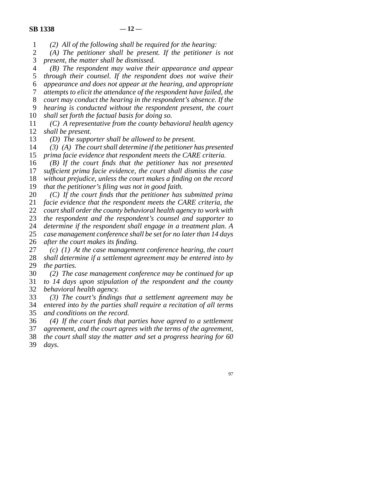line 1 *(2) All of the following shall be required for the hearing:* 

2 (A) The petitioner shall be present. If the petitioner is not 3 present, the matter shall be dismissed. present, the matter shall be dismissed.

line 4 *(B) The respondent may waive their appearance and appear* 

5 *through their counsel. If the respondent does not waive their* line 6 *appearance and does not appear at the hearing, and appropriate* 

line 7 *attempts to elicit the attendance of the respondent have failed, the* 

line 8 *court may conduct the hearing in the respondent's absence. If the* 

line 9 *hearing is conducted without the respondent present, the court* 

10 *shall set forth the factual basis for doing so.* 

 line 11 *(C) A representative from the county behavioral health agency*  12 *shall be present.* 

13 (D) The supporter shall be allowed to be present.

14 (3) (A) The court shall determine if the petitioner has presented 15 *prima facie evidence that respondent meets the CARE criteria.* 

16 *(B)* If the court finds that the petitioner has not presented

17 *sufficient prima facie evidence, the court shall dismiss the case* 

18 *without prejudice, unless the court makes a finding on the record* 

19 *that the petitioner's filing was not in good faith.* 

20 *(C)* If the court finds that the petitioner has submitted prima

21 *facie evidence that the respondent meets the CARE criteria, the* 

22 *court shall order the county behavioral health agency to work with* 

23 *the respondent and the respondent's counsel and supporter to* 

24 *determine if the respondent shall engage in a treatment plan. A* 25 *case management conference shall be set for no later than 14 days* case management conference shall be set for no later than 14 days

26 *after the court makes its finding.* 

27 *(c)* (1) At the case management conference hearing, the court 28 *shall determine if a settlement agreement may be entered into by* 29 *the parties.* 

 line 30 *(2) The case management conference may be continued for up*  line 31 *to 14 days upon stipulation of the respondent and the county*  line 32 *behavioral health agency.* 

 line 33 *(3) The court's findings that a settlement agreement may be*  line 34 *entered into by the parties shall require a recitation of all terms*  35 *and conditions on the record.* 

 line 36 *(4) If the court finds that parties have agreed to a settlement*  line 37 *agreement, and the court agrees with the terms of the agreement,* 

 line 38 *the court shall stay the matter and set a progress hearing for 60*  39 *days.*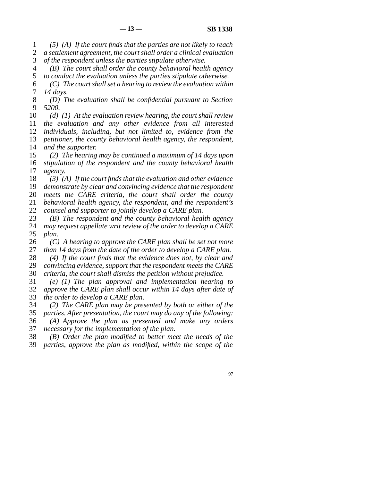line 1 *(5) (A) If the court finds that the parties are not likely to reach*  2 *a settlement agreement, the court shall order a clinical evaluation* 

3 of the respondent unless the parties stipulate otherwise.

line 4 *(B) The court shall order the county behavioral health agency* 

5 to conduct the evaluation unless the parties stipulate otherwise. line 6 *(C) The court shall set a hearing to review the evaluation within*  7 *14 days.* 

 line 8 *(D) The evaluation shall be confidential pursuant to Section*  line 9 *5200.* 

*(d)* (1) At the evaluation review hearing, the court shall review line 11 *the evaluation and any other evidence from all interested individuals, including, but not limited to, evidence from the petitioner, the county behavioral health agency, the respondent, and the supporter.* 

15 (2) The hearing may be continued a maximum of 14 days upon 16 *stipulation of the respondent and the county behavioral health* 17 *agency*.

18 (3) (A) If the court finds that the evaluation and other evidence *demonstrate by clear and convincing evidence that the respondent meets the CARE criteria, the court shall order the county behavioral health agency, the respondent, and the respondent's counsel and supporter to jointly develop a CARE plan.* 

23 (B) The respondent and the county behavioral health agency 24 *may request appellate writ review of the order to develop a CARE* 25 *plan.*  $plan.$ 

26 *(C)* A hearing to approve the CARE plan shall be set not more 27 *than 14 days from the date of the order to develop a CARE plan.* 

28 (4) If the court finds that the evidence does not, by clear and 29 *convincing evidence, support that the respondent meets the CARE* 

30 *criteria, the court shall dismiss the petition without prejudice.* 

 line 31 *(e) (1) The plan approval and implementation hearing to*  line 32 *approve the CARE plan shall occur within 14 days after date of*  33 *the order to develop a CARE plan.* 

 line 34 *(2) The CARE plan may be presented by both or either of the*  line 35 *parties. After presentation, the court may do any of the following:* 

 line 36 *(A) Approve the plan as presented and make any orders*  37 *necessary for the implementation of the plan.* 

line 38 *(B) Order the plan modified to better meet the needs of the* 

line 39 *parties, approve the plan as modified, within the scope of the*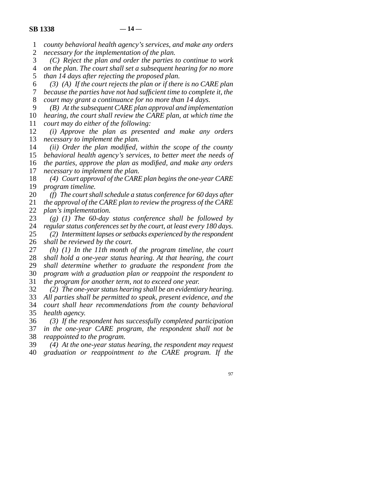line 1 *county behavioral health agency's services, and make any orders* 

2 *necessary for the implementation of the plan.*<br>3 (C) Reject the plan and order the parties (C) Reject the plan and order the parties to continue to work line 4 *on the plan. The court shall set a subsequent hearing for no more* 

5 *than 14 days after rejecting the proposed plan.*  line 6 *(3) (A) If the court rejects the plan or if there is no CARE plan*  line 7 *because the parties have not had sufficient time to complete it, the* 

8 *court may grant a continuance for no more than 14 days.* 

line 9 *(B) At the subsequent CARE plan approval and implementation* 

10 *hearing, the court shall review the CARE plan, at which time the* 11 *court may do either of the following:* 

12 *(i) Approve the plan as presented and make any orders* 13 *necessary to implement the plan.* 

14 *(ii)* Order the plan modified, within the scope of the county

15 *behavioral health agency's services, to better meet the needs of* 16 *the parties, approve the plan as modified, and make any orders* 17 *necessary to implement the plan.* 

18 (4) Court approval of the CARE plan begins the one-year CARE 19 *program timeline.* 

 line 20 *(f) The court shall schedule a status conference for 60 days after*  21 *the approval of the CARE plan to review the progress of the CARE* 

22 *plan's implementation.*<br>23 (g) (1) The 60-day  $\chi$  (g) (1) The 60-day status conference shall be followed by 24 *regular status conferences set by the court, at least every 180 days.* <br>25 (2) *Intermittent lapses or setbacks experienced by the respondent* 

(2) *Intermittent lapses or setbacks experienced by the respondent* 26 *shall be reviewed by the court.* 

27 *(h)* (1) In the 11th month of the program timeline, the court 28 *shall hold a one-year status hearing. At that hearing, the court*  line 29 *shall determine whether to graduate the respondent from the*  line 30 *program with a graduation plan or reappoint the respondent to*  line 31 *the program for another term, not to exceed one year.* 

 line 32 *(2) The one-year status hearing shall be an evidentiary hearing.*  33 All parties shall be permitted to speak, present evidence, and the line 34 *court shall hear recommendations from the county behavioral* 

35 *health agency.* line 36 *(3) If the respondent has successfully completed participation* 

37 *in the one-year CARE program, the respondent shall not be* 38 *reappointed to the program.* 

 line 39 *(4) At the one-year status hearing, the respondent may request*  line 40 *graduation or reappointment to the CARE program. If the*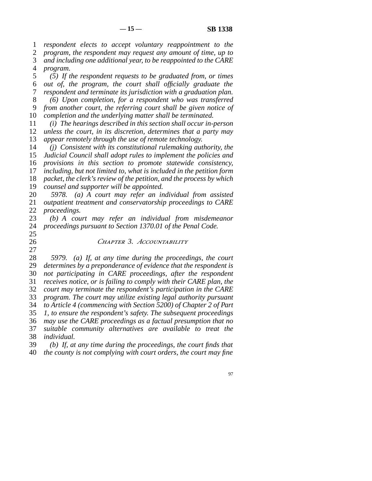line 1 *respondent elects to accept voluntary reappointment to the*  line 2 *program, the respondent may request any amount of time, up to*  line 3 *and including one additional year, to be reappointed to the CARE*  line 4 *program.* 

5 (5) If the respondent requests to be graduated from, or times line 6 *out of, the program, the court shall officially graduate the*  line 7 *respondent and terminate its jurisdiction with a graduation plan.*  line 8 *(6) Upon completion, for a respondent who was transferred* 

 line 9 *from another court, the referring court shall be given notice of*  10 *completion and the underlying matter shall be terminated.* 

 line 11 *(i) The hearings described in this section shall occur in-person*  12 *unless the court, in its discretion, determines that a party may* 13 *appear remotely through the use of remote technology.* 

*(i)* Consistent with its constitutional rulemaking authority, the *Judicial Council shall adopt rules to implement the policies and provisions in this section to promote statewide consistency, including, but not limited to, what is included in the petition form packet, the clerk's review of the petition, and the process by which counsel and supporter will be appointed.* 

 line 20 *5978. (a) A court may refer an individual from assisted*  21 *outpatient treatment and conservatorship proceedings to CARE* 22 *proceedings.*<br>23 (b) A cou

(b) A court may refer an individual from misdemeanor 24 *proceedings pursuant to Section 1370.01 of the Penal Code.* 

25

## line 26 *Chapter 3. Accountability*

 $\frac{27}{28}$  line 28 *5979. (a) If, at any time during the proceedings, the court*  29 *determines by a preponderance of evidence that the respondent is*  line 30 *not participating in CARE proceedings, after the respondent*  line 31 *receives notice, or is failing to comply with their CARE plan, the*  line 32 *court may terminate the respondent's participation in the CARE*  33 *program. The court may utilize existing legal authority pursuant*  line 34 *to Article 4 (commencing with Section 5200) of Chapter 2 of Part*  35 *1, to ensure the respondent's safety. The subsequent proceedings*  line 36 *may use the CARE proceedings as a factual presumption that no*  37 *suitable community alternatives are available to treat the* line 38 *individual.* 

 line 39 *(b) If, at any time during the proceedings, the court finds that*  line 40 *the county is not complying with court orders, the court may fine*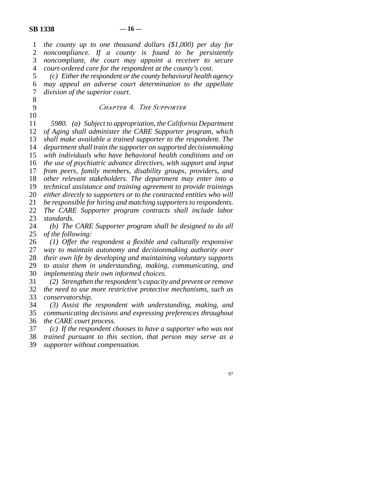| $\mathbf{1}$   | the county up to one thousand dollars $(\$1,000)$ per day for        |
|----------------|----------------------------------------------------------------------|
| $\overline{2}$ | noncompliance. If a county is found to be persistently               |
| 3              | noncompliant, the court may appoint a receiver to secure             |
| $\overline{4}$ | court-ordered care for the respondent at the county's cost.          |
| 5              | (c) Either the respondent or the county behavioral health agency     |
| 6              | may appeal an adverse court determination to the appellate           |
| $\tau$         | division of the superior court.                                      |
| 8              |                                                                      |
| 9              | CHAPTER 4. THE SUPPORTER                                             |
| 10             |                                                                      |
| 11             | 5980. (a) Subject to appropriation, the California Department        |
| 12             | of Aging shall administer the CARE Supporter program, which          |
| 13             | shall make available a trained supporter to the respondent. The      |
| 14             | department shall train the supporter on supported decisionmaking     |
| 15             | with individuals who have behavioral health conditions and on        |
| 16             | the use of psychiatric advance directives, with support and input    |
| 17             | from peers, family members, disability groups, providers, and        |
| 18             | other relevant stakeholders. The department may enter into a         |
| 19             | technical assistance and training agreement to provide trainings     |
| 20             | either directly to supporters or to the contracted entities who will |
| 21             | be responsible for hiring and matching supporters to respondents.    |
| 22             | The CARE Supporter program contracts shall include labor             |
| 23             | standards.                                                           |
| 24             | (b) The CARE Supporter program shall be designed to do all           |
| 25             | of the following:                                                    |
| 26             | $(1)$ Offer the respondent a flexible and culturally responsive      |
| 27             | way to maintain autonomy and decisionmaking authority over           |
| $28\,$         | their own life by developing and maintaining voluntary supports      |
| 29             | to assist them in understanding, making, communicating, and          |
| 30             | implementing their own informed choices.                             |
| 31             | (2) Strengthen the respondent's capacity and prevent or remove       |
| 32             | the need to use more restrictive protective mechanisms, such as      |
| 33             | conservatorship.                                                     |
| 34             | (3) Assist the respondent with understanding, making, and            |
| 35             | communicating decisions and expressing preferences throughout        |
| 36             | the CARE court process.                                              |
| 37             | $(c)$ If the respondent chooses to have a supporter who was not      |
| 38             | trained pursuant to this section, that person may serve as a         |
| 39             | supporter without compensation.                                      |
|                |                                                                      |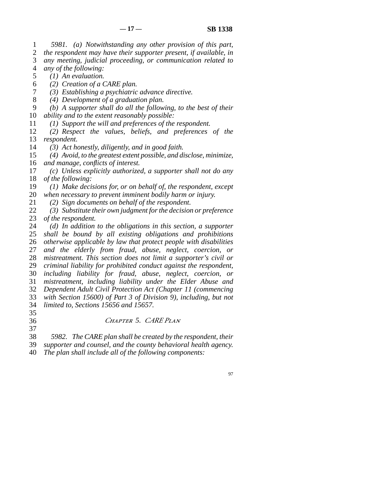line 1 *5981. (a) Notwithstanding any other provision of this part,*  2 *the respondent may have their supporter present, if available, in*  line 3 *any meeting, judicial proceeding, or communication related to*  line 4 *any of the following:* 

- 5 (1) An evaluation.
- line 6 *(2) Creation of a CARE plan.*
- line 7 *(3) Establishing a psychiatric advance directive.*
- line 8 *(4) Development of a graduation plan.*
- line 9 *(b) A supporter shall do all the following, to the best of their*  10 *ability and to the extent reasonably possible:*
- 11 (1) Support the will and preferences of the respondent.
- 12 (2) Respect the values, beliefs, and preferences of the 13 *respondent.*<br>14 (3) Act he
- line 14 *(3) Act honestly, diligently, and in good faith.*
- line 15 *(4) Avoid, to the greatest extent possible, and disclose, minimize,*  16 *and manage, conflicts of interest.*
- 17 (c) Unless explicitly authorized, a supporter shall not do any 18 *of the following:*
- 19 (1) Make decisions for, or on behalf of, the respondent, except 20 *when necessary to prevent imminent bodily harm or injury.*
- 
- 21 (2) Sign documents on behalf of the respondent.
- 22 (3) Substitute their own judgment for the decision or preference<br>23 of the respondent. *of the respondent.*
- 24 (d) In addition to the obligations in this section, a supporter<br>25 shall be bound by all existing obligations and prohibitions shall be bound by all existing obligations and prohibitions 26 *otherwise applicable by law that protect people with disabilities* 27 *and the elderly from fraud, abuse, neglect, coercion, or* 28 *mistreatment. This section does not limit a supporter's civil or* 29 *criminal liability for prohibited conduct against the respondent,*  line 30 *including liability for fraud, abuse, neglect, coercion, or*  line 31 *mistreatment, including liability under the Elder Abuse and*  line 32 *Dependent Adult Civil Protection Act (Chapter 11 (commencing*  33 *with Section 15600) of Part 3 of Division 9), including, but not* line 34 *limited to, Sections 15656 and 15657.*
- 35

37

# line 36 *Chapter 5. CARE Plan*

- line 38 *5982. The CARE plan shall be created by the respondent, their*
- 39 *supporter and counsel, and the county behavioral health agency.*
- line 40 *The plan shall include all of the following components:*
- 97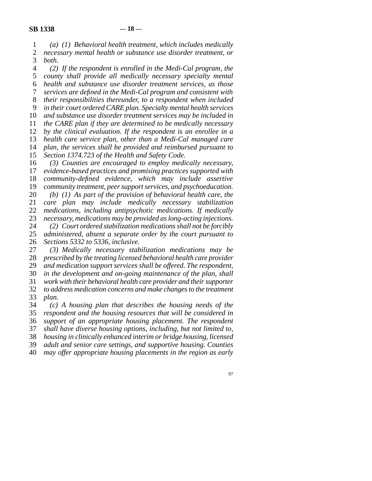line 1 *(a) (1) Behavioral health treatment, which includes medically*  2 *necessary mental health or substance use disorder treatment, or* 3 *both. both.* 

 line 4 *(2) If the respondent is enrolled in the Medi-Cal program, the*  line 5 *county shall provide all medically necessary specialty mental*  line 6 *health and substance use disorder treatment services, as those*  line 7 *services are defined in the Medi-Cal program and consistent with*  line 8 *their responsibilities thereunder, to a respondent when included*  9 *in their court ordered CARE plan. Specialty mental health services* 10 and substance use disorder treatment services may be included in 11 *the CARE plan if they are determined to be medically necessary* 12 *by the clinical evaluation. If the respondent is an enrollee in a* 13 *health care service plan, other than a Medi-Cal managed care* 14 *plan, the services shall be provided and reimbursed pursuant to* 15 *Section 1374.723 of the Health and Safety Code.* 16 (3) Counties are encouraged to employ medically necessary, 17 *evidence-based practices and promising practices supported with* 

18 *community-defined evidence, which may include assertive* 19 *community treatment, peer support services, and psychoeducation.*  line 20 *(b) (1) As part of the provision of behavioral health care, the*  21 *care plan may include medically necessary stabilization* 22 *medications, including antipsychotic medications. If medically* 23 *necessary, medications may be provided as long-acting injections.* 24 (2) Court ordered stabilization medications shall not be forcibly 25 administered, absent a separate order by the court pursuant to administered, absent a separate order by the court pursuant to line 26 *Sections 5332 to 5336, inclusive.* 

27 (3) Medically necessary stabilization medications may be 28 *prescribed by the treating licensed behavioral health care provider* 29 *and medication support services shall be offered. The respondent,* 30 *in the development and on-going maintenance of the plan, shall*  line 31 *work with their behavioral health care provider and their supporter*  32 *to address medication concerns and make changes to the treatment* 33 *plan.* plan.

 line 34 *(c) A housing plan that describes the housing needs of the*  line 35 *respondent and the housing resources that will be considered in*  line 36 *support of an appropriate housing placement. The respondent*  line 37 *shall have diverse housing options, including, but not limited to,*  line 38 *housing in clinically enhanced interim or bridge housing, licensed*  line 39 *adult and senior care settings, and supportive housing. Counties*  line 40 *may offer appropriate housing placements in the region as early*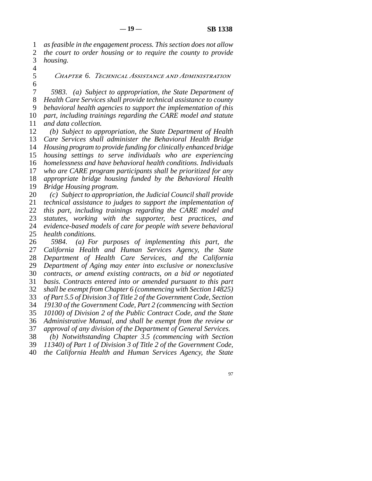line 1 *as feasible in the engagement process. This section does not allow*  2 *the court to order housing or to require the county to provide* 3 *housing. housing.* 

 $\overline{4}$ 

 $6 \overline{6}$ 

line 5 *Chapter 6. Technical Assistance and Administration* 

 line 7 *5983. (a) Subject to appropriation, the State Department of*  line 8 *Health Care Services shall provide technical assistance to county*  line 9 *behavioral health agencies to support the implementation of this*  10 *part, including trainings regarding the CARE model and statute* 11 *and data collection.* 

12 (b) Subject to appropriation, the State Department of Health *Care Services shall administer the Behavioral Health Bridge Housing program to provide funding for clinically enhanced bridge housing settings to serve individuals who are experiencing homelessness and have behavioral health conditions. Individuals who are CARE program participants shall be prioritized for any appropriate bridge housing funded by the Behavioral Health Bridge Housing program.* 

 line 20 *(c) Subject to appropriation, the Judicial Council shall provide technical assistance to judges to support the implementation of this part, including trainings regarding the CARE model and statutes, working with the supporter, best practices, and evidence-based models of care for people with severe behavioral* <br>25 *health conditions*. *health conditions.* 

26 5984. *(a)* For purposes of implementing this part, the 27 *California Health and Human Services Agency, the State* 28 *Department of Health Care Services, and the California*  line 29 *Department of Aging may enter into exclusive or nonexclusive*  line 30 *contracts, or amend existing contracts, on a bid or negotiated*  line 31 *basis. Contracts entered into or amended pursuant to this part*  line 32 *shall be exempt from Chapter 6 (commencing with Section 14825)*  33 of Part 5.5 of Division 3 of Title 2 of the Government Code, Section line 34 *19130 of the Government Code, Part 2 (commencing with Section*  line 35 *10100) of Division 2 of the Public Contract Code, and the State*  36 *Administrative Manual, and shall be exempt from the review or* 37 *approval of any division of the Department of General Services.* line 38 *(b) Notwithstanding Chapter 3.5 (commencing with Section* 

line 39 *11340) of Part 1 of Division 3 of Title 2 of the Government Code,* 

line 40 *the California Health and Human Services Agency, the State*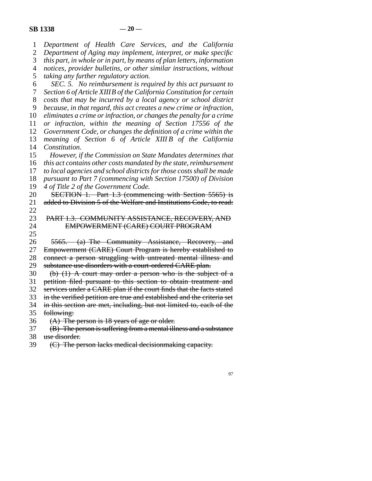| $\mathbf{1}$   | Department of Health Care Services, and the California                                                                                |
|----------------|---------------------------------------------------------------------------------------------------------------------------------------|
| $\overline{c}$ | Department of Aging may implement, interpret, or make specific                                                                        |
| 3              | this part, in whole or in part, by means of plan letters, information                                                                 |
| $\overline{4}$ | notices, provider bulletins, or other similar instructions, without                                                                   |
| 5              | taking any further regulatory action.                                                                                                 |
| 6              | SEC. 5. No reimbursement is required by this act pursuant to                                                                          |
| 7              | Section 6 of Article XIIIB of the California Constitution for certain                                                                 |
| 8              | costs that may be incurred by a local agency or school district                                                                       |
| 9              | because, in that regard, this act creates a new crime or infraction,                                                                  |
| 10             | eliminates a crime or infraction, or changes the penalty for a crime                                                                  |
| 11             | or infraction, within the meaning of Section 17556 of the                                                                             |
| 12             | Government Code, or changes the definition of a crime within the                                                                      |
| 13             | meaning of Section 6 of Article XIII B of the California                                                                              |
| 14             | Constitution.                                                                                                                         |
| 15             | However, if the Commission on State Mandates determines that                                                                          |
| 16             | this act contains other costs mandated by the state, reimbursement                                                                    |
| 17             | to local agencies and school districts for those costs shall be made                                                                  |
| 18             | pursuant to Part 7 (commencing with Section 17500) of Division                                                                        |
| 19             | 4 of Title 2 of the Government Code.                                                                                                  |
| 20             | SECTION 1. Part 1.3 (commencing with Section 5565) is                                                                                 |
| 21             | added to Division 5 of the Welfare and Institutions Code, to read:                                                                    |
| 22             |                                                                                                                                       |
| 23             | PART 1.3. COMMUNITY ASSISTANCE, RECOVERY, AND                                                                                         |
| 24             | EMPOWERMENT (CARE) COURT PROGRAM                                                                                                      |
| 25             |                                                                                                                                       |
| 26             | 5565. (a) The Community Assistance, Recovery, and                                                                                     |
| 27             | Empowerment (CARE) Court Program is hereby established to                                                                             |
| 28             | connect a person struggling with untreated mental illness and                                                                         |
| 29             | substance use disorders with a court-ordered CARE plan.                                                                               |
| 30             | $(b)$ (1) A court may order a person who is the subject of a                                                                          |
| 31             | petition filed pursuant to this section to obtain treatment and                                                                       |
| 32             | services under a CARE plan if the court finds that the facts stated                                                                   |
| 33             | in the verified petition are true and established and the criteria set                                                                |
| 34             | in this section are met, including, but not limited to, each of the                                                                   |
| 35             | following:                                                                                                                            |
| 36             | (A) The person is 18 years of age or older.                                                                                           |
| 37             | (B) The person is suffering from a mental illness and a substance                                                                     |
| 38             | use disorder.<br>the contract of the contract of the contract of the contract of the contract of the contract of the contract of<br>. |
|                |                                                                                                                                       |

39  $\left($  C) The person lacks medical decisionmaking capacity.